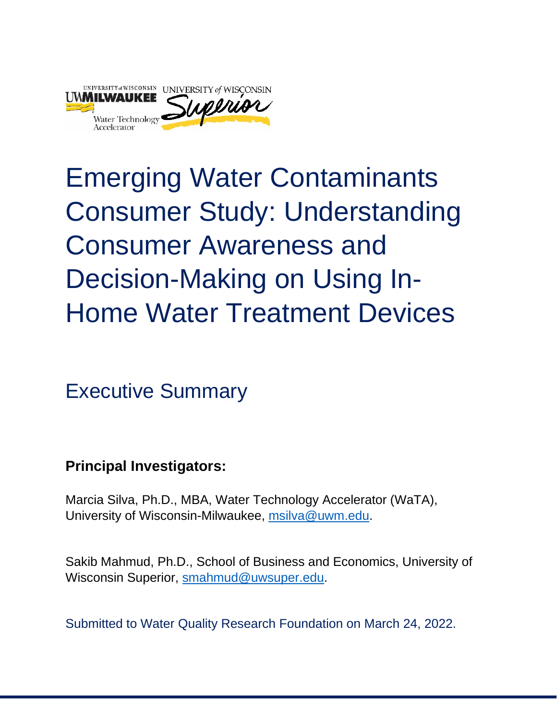

# Emerging Water Contaminants Consumer Study: Understanding Consumer Awareness and Decision-Making on Using In-Home Water Treatment Devices

Executive Summary

**Principal Investigators:**

Marcia Silva, Ph.D., MBA, Water Technology Accelerator (WaTA), University of Wisconsin-Milwaukee, [msilva@uwm.edu.](mailto:msilva@uwm.edu)

Sakib Mahmud, Ph.D., School of Business and Economics, University of Wisconsin Superior, [smahmud@uwsuper.edu.](mailto:smahmud@uwsuper.edu)

Submitted to Water Quality Research Foundation on March 24, 2022.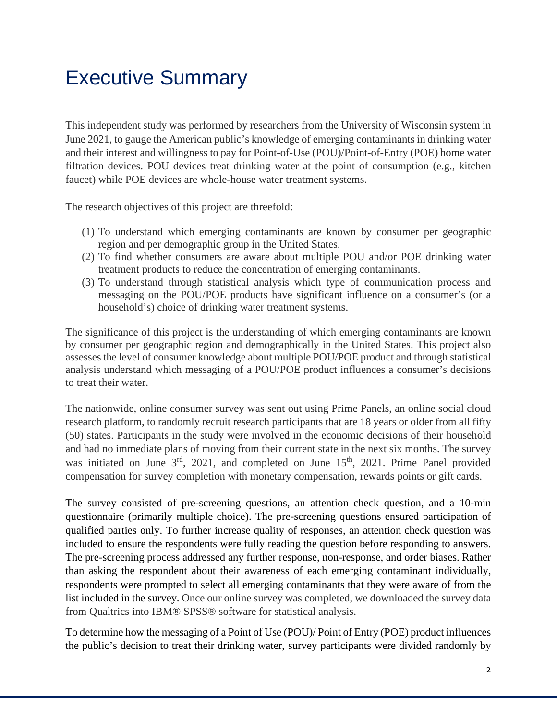# Executive Summary

This independent study was performed by researchers from the University of Wisconsin system in June 2021, to gauge the American public's knowledge of emerging contaminants in drinking water and their interest and willingness to pay for Point-of-Use (POU)/Point-of-Entry (POE) home water filtration devices. POU devices treat drinking water at the point of consumption (e.g., kitchen faucet) while POE devices are whole-house water treatment systems.

The research objectives of this project are threefold:

- (1) To understand which emerging contaminants are known by consumer per geographic region and per demographic group in the United States.
- (2) To find whether consumers are aware about multiple POU and/or POE drinking water treatment products to reduce the concentration of emerging contaminants.
- (3) To understand through statistical analysis which type of communication process and messaging on the POU/POE products have significant influence on a consumer's (or a household's) choice of drinking water treatment systems.

The significance of this project is the understanding of which emerging contaminants are known by consumer per geographic region and demographically in the United States. This project also assesses the level of consumer knowledge about multiple POU/POE product and through statistical analysis understand which messaging of a POU/POE product influences a consumer's decisions to treat their water.

The nationwide, online consumer survey was sent out using Prime Panels, an online social cloud research platform, to randomly recruit research participants that are 18 years or older from all fifty (50) states. Participants in the study were involved in the economic decisions of their household and had no immediate plans of moving from their current state in the next six months. The survey was initiated on June  $3<sup>rd</sup>$ , 2021, and completed on June  $15<sup>th</sup>$ , 2021. Prime Panel provided compensation for survey completion with monetary compensation, rewards points or gift cards.

The survey consisted of pre-screening questions, an attention check question, and a 10-min questionnaire (primarily multiple choice). The pre-screening questions ensured participation of qualified parties only. To further increase quality of responses, an attention check question was included to ensure the respondents were fully reading the question before responding to answers. The pre-screening process addressed any further response, non-response, and order biases. Rather than asking the respondent about their awareness of each emerging contaminant individually, respondents were prompted to select all emerging contaminants that they were aware of from the list included in the survey. Once our online survey was completed, we downloaded the survey data from Qualtrics into IBM® SPSS® software for statistical analysis.

To determine how the messaging of a Point of Use (POU)/ Point of Entry (POE) product influences the public's decision to treat their drinking water, survey participants were divided randomly by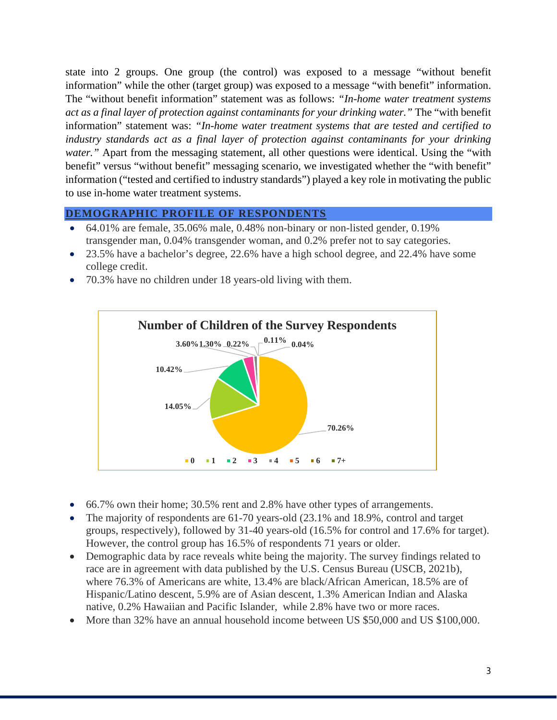state into 2 groups. One group (the control) was exposed to a message "without benefit information" while the other (target group) was exposed to a message "with benefit" information. The "without benefit information" statement was as follows: *"In-home water treatment systems act as a final layer of protection against contaminants for your drinking water."* The "with benefit information" statement was: *"In-home water treatment systems that are tested and certified to industry standards act as a final layer of protection against contaminants for your drinking water.*" Apart from the messaging statement, all other questions were identical. Using the "with" benefit" versus "without benefit" messaging scenario, we investigated whether the "with benefit" information ("tested and certified to industry standards") played a key role in motivating the public to use in-home water treatment systems.

## **DEMOGRAPHIC PROFILE OF RESPONDENTS**

- 64.01% are female, 35.06% male, 0.48% non-binary or non-listed gender, 0.19% transgender man, 0.04% transgender woman, and 0.2% prefer not to say categories.
- 23.5% have a bachelor's degree, 22.6% have a high school degree, and 22.4% have some college credit.
- 70.3% have no children under 18 years-old living with them.



- 66.7% own their home; 30.5% rent and 2.8% have other types of arrangements.
- The majority of respondents are 61-70 years-old (23.1% and 18.9%, control and target groups, respectively), followed by 31-40 years-old (16.5% for control and 17.6% for target). However, the control group has 16.5% of respondents 71 years or older.
- Demographic data by race reveals white being the majority. The survey findings related to race are in agreement with data published by the U.S. Census Bureau (USCB, 2021b), where 76.3% of Americans are white, 13.4% are black/African American, 18.5% are of Hispanic/Latino descent, 5.9% are of Asian descent, 1.3% American Indian and Alaska native, 0.2% Hawaiian and Pacific Islander, while 2.8% have two or more races.
- More than 32% have an annual household income between US \$50,000 and US \$100,000.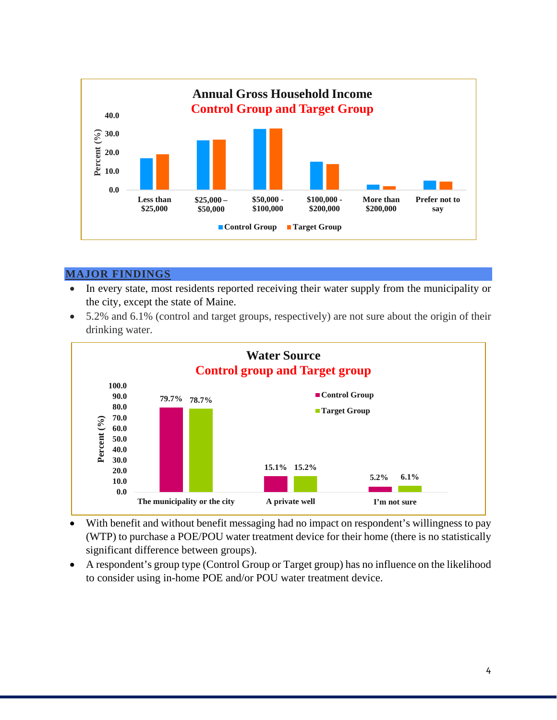

## **MAJOR FINDINGS**

- In every state, most residents reported receiving their water supply from the municipality or the city, except the state of Maine.
- 5.2% and 6.1% (control and target groups, respectively) are not sure about the origin of their drinking water.



- With benefit and without benefit messaging had no impact on respondent's willingness to pay (WTP) to purchase a POE/POU water treatment device for their home (there is no statistically significant difference between groups).
- A respondent's group type (Control Group or Target group) has no influence on the likelihood to consider using in-home POE and/or POU water treatment device.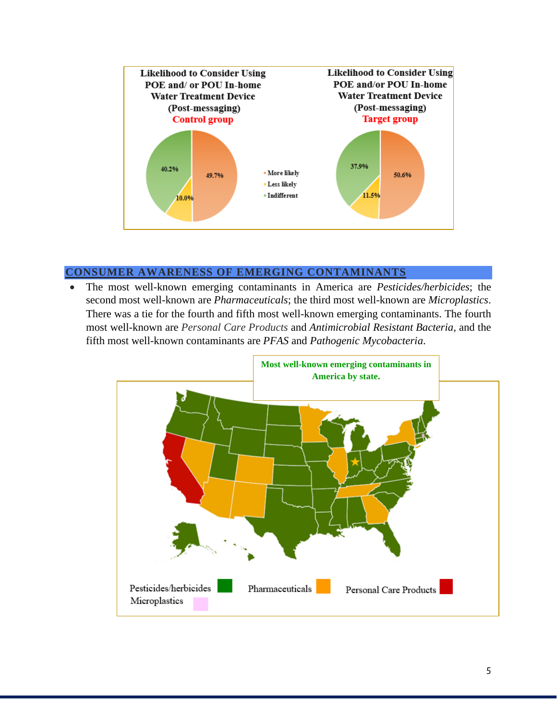

# **CONSUMER AWARENESS OF EMERGING CONTAMINANTS**

• The most well-known emerging contaminants in America are *Pesticides/herbicides*; the second most well-known are *Pharmaceuticals*; the third most well-known are *Microplastics*. There was a tie for the fourth and fifth most well-known emerging contaminants. The fourth most well-known are *Personal Care Products* and *Antimicrobial Resistant Bacteria,* and the fifth most well-known contaminants are *PFAS* and *Pathogenic Mycobacteria*.

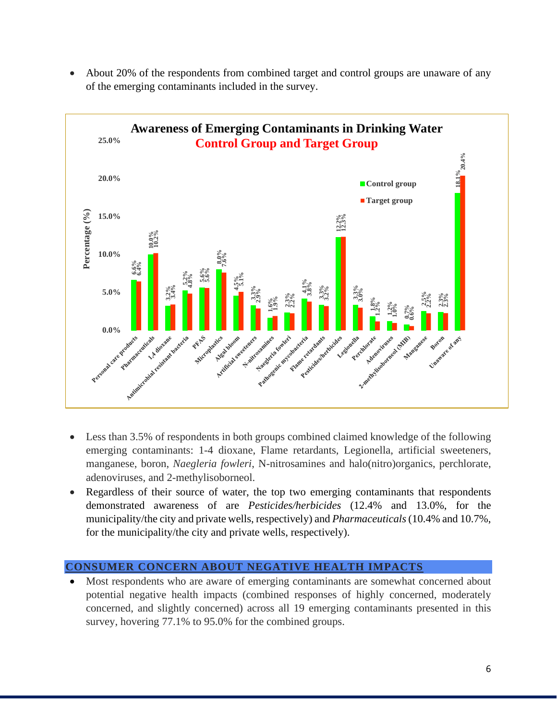

• About 20% of the respondents from combined target and control groups are unaware of any of the emerging contaminants included in the survey.

- Less than 3.5% of respondents in both groups combined claimed knowledge of the following emerging contaminants: 1-4 dioxane, Flame retardants, Legionella, artificial sweeteners, manganese, boron, *Naegleria fowleri*, N-nitrosamines and halo(nitro)organics, perchlorate, adenoviruses, and 2-methylisoborneol.
- Regardless of their source of water, the top two emerging contaminants that respondents demonstrated awareness of are *Pesticides/herbicides* (12.4% and 13.0%, for the municipality/the city and private wells, respectively) and *Pharmaceuticals*(10.4% and 10.7%, for the municipality/the city and private wells, respectively).

## **CONSUMER CONCERN ABOUT NEGATIVE HEALTH IMPACTS**

• Most respondents who are aware of emerging contaminants are somewhat concerned about potential negative health impacts (combined responses of highly concerned, moderately concerned, and slightly concerned) across all 19 emerging contaminants presented in this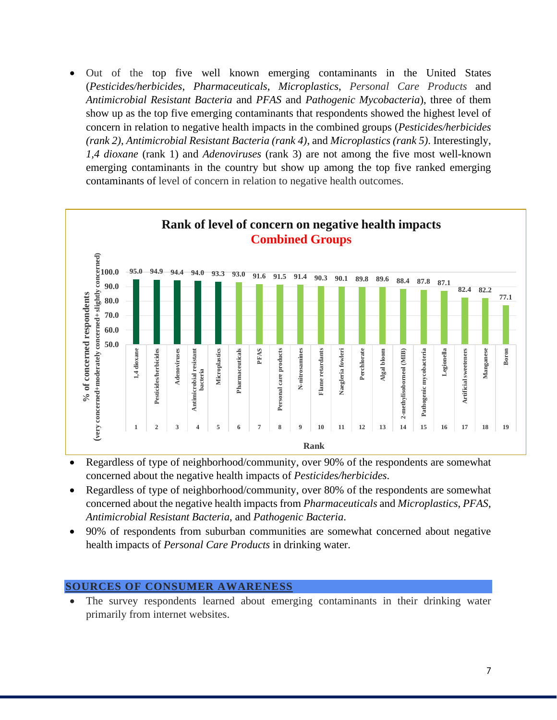• Out of the top five well known emerging contaminants in the United States (*Pesticides/herbicides*, *Pharmaceuticals*, *Microplastics*, *Personal Care Products* and *Antimicrobial Resistant Bacteria* and *PFAS* and *Pathogenic Mycobacteria*), three of them show up as the top five emerging contaminants that respondents showed the highest level of concern in relation to negative health impacts in the combined groups (*Pesticides/herbicides (rank 2)*, *Antimicrobial Resistant Bacteria (rank 4)*, and *Microplastics (rank 5)*. Interestingly, *1,4 dioxane* (rank 1) and *Adenoviruses* (rank 3) are not among the five most well-known emerging contaminants in the country but show up among the top five ranked emerging contaminants of level of concern in relation to negative health outcomes.



- Regardless of type of neighborhood/community, over 90% of the respondents are somewhat concerned about the negative health impacts of *Pesticides/herbicides*.
- Regardless of type of neighborhood/community, over 80% of the respondents are somewhat concerned about the negative health impacts from *Pharmaceuticals* and *Microplastics*, *PFAS*, *Antimicrobial Resistant Bacteria*, and *Pathogenic Bacteria*.
- 90% of respondents from suburban communities are somewhat concerned about negative health impacts of *Personal Care Products* in drinking water.

#### **SOURCES OF CONSUMER AWARENESS**

• The survey respondents learned about emerging contaminants in their drinking water primarily from internet websites.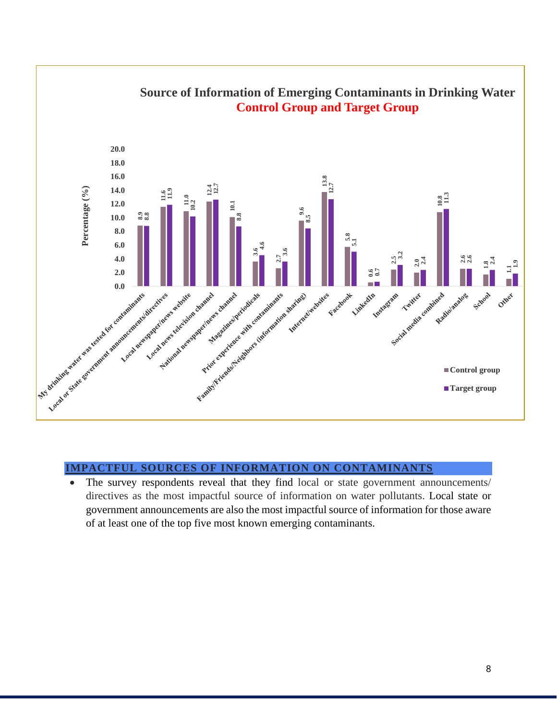

#### **IMPACTFUL SOURCES OF INFORMATION ON CONTAMINANTS**

• The survey respondents reveal that they find local or state government announcements/ directives as the most impactful source of information on water pollutants. Local state or government announcements are also the most impactful source of information for those aware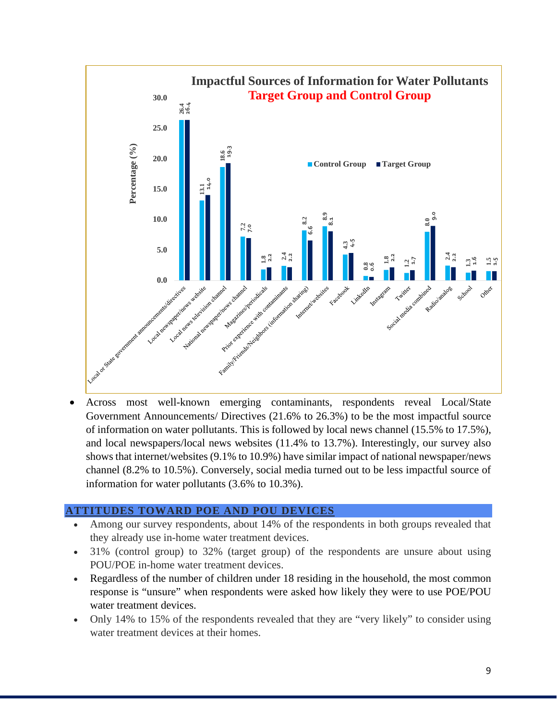

• Across most well-known emerging contaminants, respondents reveal Local/State Government Announcements/ Directives (21.6% to 26.3%) to be the most impactful source of information on water pollutants. This is followed by local news channel (15.5% to 17.5%), and local newspapers/local news websites (11.4% to 13.7%). Interestingly, our survey also shows that internet/websites (9.1% to 10.9%) have similar impact of national newspaper/news channel (8.2% to 10.5%). Conversely, social media turned out to be less impactful source of information for water pollutants (3.6% to 10.3%).

## **ATTITUDES TOWARD POE AND POU DEVICES**

- Among our survey respondents, about 14% of the respondents in both groups revealed that they already use in-home water treatment devices.
- 31% (control group) to 32% (target group) of the respondents are unsure about using POU/POE in-home water treatment devices.
- Regardless of the number of children under 18 residing in the household, the most common response is "unsure" when respondents were asked how likely they were to use POE/POU water treatment devices.
- Only 14% to 15% of the respondents revealed that they are "very likely" to consider using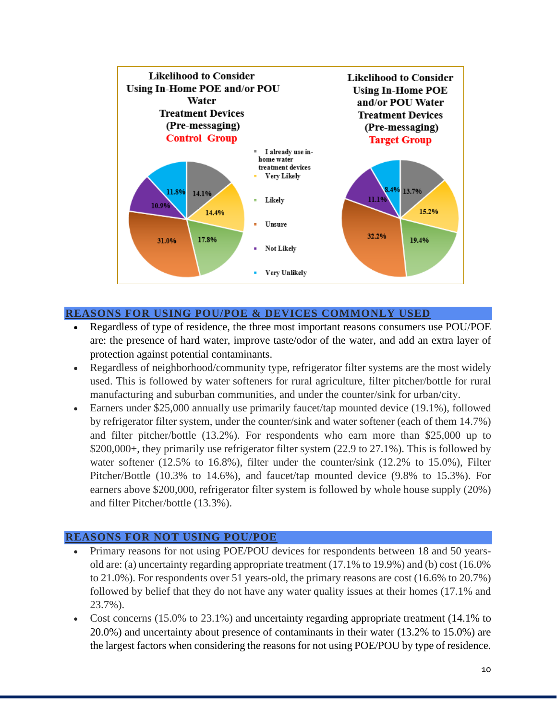

# **REASONS FOR USING POU/POE & DEVICES COMMONLY USED**

- Regardless of type of residence, the three most important reasons consumers use POU/POE are: the presence of hard water, improve taste/odor of the water, and add an extra layer of protection against potential contaminants.
- Regardless of neighborhood/community type, refrigerator filter systems are the most widely used. This is followed by water softeners for rural agriculture, filter pitcher/bottle for rural manufacturing and suburban communities, and under the counter/sink for urban/city.
- Earners under \$25,000 annually use primarily faucet/tap mounted device (19.1%), followed by refrigerator filter system, under the counter/sink and water softener (each of them 14.7%) and filter pitcher/bottle (13.2%). For respondents who earn more than \$25,000 up to \$200,000+, they primarily use refrigerator filter system (22.9 to 27.1%). This is followed by water softener (12.5% to 16.8%), filter under the counter/sink (12.2% to 15.0%), Filter Pitcher/Bottle (10.3% to 14.6%), and faucet/tap mounted device (9.8% to 15.3%). For earners above \$200,000, refrigerator filter system is followed by whole house supply (20%) and filter Pitcher/bottle (13.3%).

## **REASONS FOR NOT USING POU/POE**

- Primary reasons for not using POE/POU devices for respondents between 18 and 50 yearsold are: (a) uncertainty regarding appropriate treatment (17.1% to 19.9%) and (b) cost (16.0% to 21.0%). For respondents over 51 years-old, the primary reasons are cost (16.6% to 20.7%) followed by belief that they do not have any water quality issues at their homes (17.1% and 23.7%).
- Cost concerns (15.0% to 23.1%) and uncertainty regarding appropriate treatment (14.1% to 20.0%) and uncertainty about presence of contaminants in their water (13.2% to 15.0%) are the largest factors when considering the reasons for not using POE/POU by type of residence.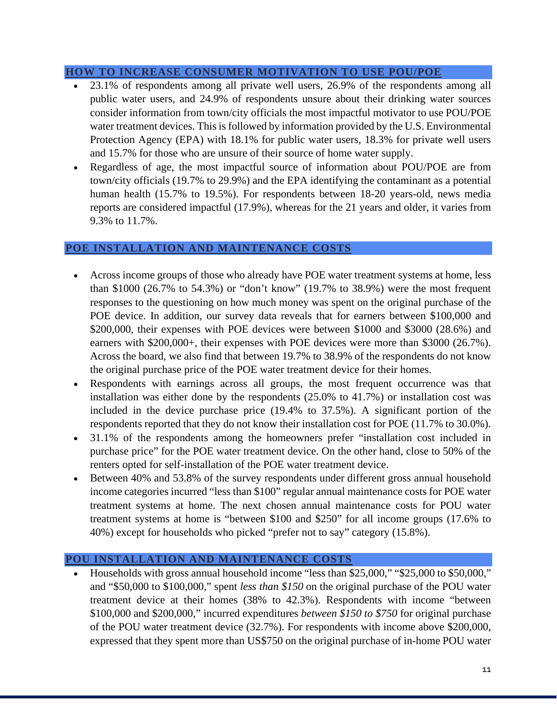#### **HOW TO INCREASE CONSUMER MOTIVATION TO USE POU/POE**

- 23.1% of respondents among all private well users, 26.9% of the respondents among all public water users, and 24.9% of respondents unsure about their drinking water sources consider information from town/city officials the most impactful motivator to use POU/POE water treatment devices. This is followed by information provided by the U.S. Environmental Protection Agency (EPA) with 18.1% for public water users, 18.3% for private well users and 15.7% for those who are unsure of their source of home water supply.
- Regardless of age, the most impactful source of information about POU/POE are from town/city officials (19.7% to 29.9%) and the EPA identifying the contaminant as a potential human health (15.7% to 19.5%). For respondents between 18-20 years-old, news media reports are considered impactful (17.9%), whereas for the 21 years and older, it varies from 9.3% to 11.7%.

#### **POE INSTALLATION AND MAINTENANCE COSTS**

- Across income groups of those who already have POE water treatment systems at home, less than \$1000 (26.7% to 54.3%) or "don't know" (19.7% to 38.9%) were the most frequent responses to the questioning on how much money was spent on the original purchase of the POE device. In addition, our survey data reveals that for earners between \$100,000 and \$200,000, their expenses with POE devices were between \$1000 and \$3000 (28.6%) and earners with \$200,000+, their expenses with POE devices were more than \$3000 (26.7%). Across the board, we also find that between 19.7% to 38.9% of the respondents do not know the original purchase price of the POE water treatment device for their homes.
- Respondents with earnings across all groups, the most frequent occurrence was that installation was either done by the respondents (25.0% to 41.7%) or installation cost was included in the device purchase price (19.4% to 37.5%). A significant portion of the respondents reported that they do not know their installation cost for POE (11.7% to 30.0%).
- 31.1% of the respondents among the homeowners prefer "installation cost included in purchase price" for the POE water treatment device. On the other hand, close to 50% of the renters opted for self-installation of the POE water treatment device.
- Between 40% and 53.8% of the survey respondents under different gross annual household income categories incurred "less than \$100" regular annual maintenance costs for POE water treatment systems at home. The next chosen annual maintenance costs for POU water treatment systems at home is "between \$100 and \$250" for all income groups (17.6% to 40%) except for households who picked "prefer not to say" category (15.8%).

#### **POU INSTALLATION AND MAINTENANCE COSTS**

• Households with gross annual household income "less than \$25,000," "\$25,000 to \$50,000," and "\$50,000 to \$100,000," spent *less than \$150* on the original purchase of the POU water treatment device at their homes (38% to 42.3%). Respondents with income "between \$100,000 and \$200,000," incurred expenditures *between \$150 to \$750* for original purchase of the POU water treatment device (32.7%). For respondents with income above \$200,000, expressed that they spent more than US\$750 on the original purchase of in-home POU water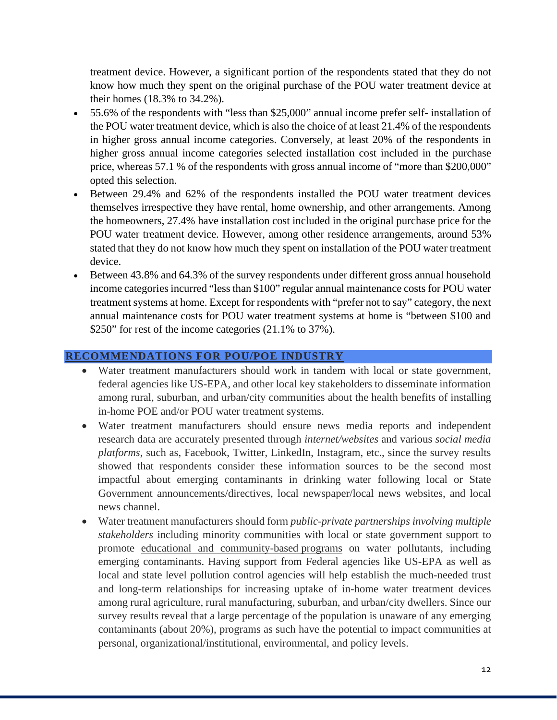treatment device. However, a significant portion of the respondents stated that they do not know how much they spent on the original purchase of the POU water treatment device at their homes (18.3% to 34.2%).

- 55.6% of the respondents with "less than \$25,000" annual income prefer self- installation of the POU water treatment device, which is also the choice of at least 21.4% of the respondents in higher gross annual income categories. Conversely, at least 20% of the respondents in higher gross annual income categories selected installation cost included in the purchase price, whereas 57.1 % of the respondents with gross annual income of "more than \$200,000" opted this selection.
- Between 29.4% and 62% of the respondents installed the POU water treatment devices themselves irrespective they have rental, home ownership, and other arrangements. Among the homeowners, 27.4% have installation cost included in the original purchase price for the POU water treatment device. However, among other residence arrangements, around 53% stated that they do not know how much they spent on installation of the POU water treatment device.
- Between 43.8% and 64.3% of the survey respondents under different gross annual household income categories incurred "less than \$100" regular annual maintenance costs for POU water treatment systems at home. Except for respondents with "prefer not to say" category, the next annual maintenance costs for POU water treatment systems at home is "between \$100 and \$250" for rest of the income categories (21.1% to 37%).

# **RECOMMENDATIONS FOR POU/POE INDUSTRY**

- Water treatment manufacturers should work in tandem with local or state government, federal agencies like US-EPA, and other local key stakeholders to disseminate information among rural, suburban, and urban/city communities about the health benefits of installing in-home POE and/or POU water treatment systems.
- Water treatment manufacturers should ensure news media reports and independent research data are accurately presented through *internet/websites* and various *social media platforms*, such as, Facebook, Twitter, LinkedIn, Instagram, etc., since the survey results showed that respondents consider these information sources to be the second most impactful about emerging contaminants in drinking water following local or State Government announcements/directives, local newspaper/local news websites, and local news channel.
- Water treatment manufacturers should form *public-private partnerships involving multiple stakeholders* including minority communities with local or state government support to promote educational and community-based programs on water pollutants, including emerging contaminants. Having support from Federal agencies like US-EPA as well as local and state level pollution control agencies will help establish the much-needed trust and long-term relationships for increasing uptake of in-home water treatment devices among rural agriculture, rural manufacturing, suburban, and urban/city dwellers. Since our survey results reveal that a large percentage of the population is unaware of any emerging contaminants (about 20%), programs as such have the potential to impact communities at personal, organizational/institutional, environmental, and policy levels.